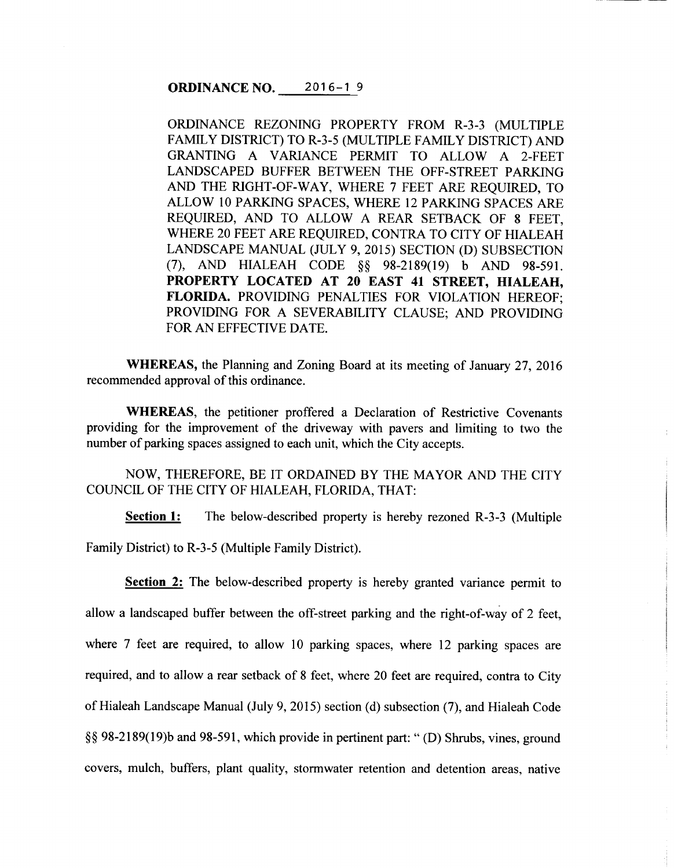**ORDINANCE NO.** 2016-19

ORDINANCE REZONING PROPERTY FROM R-3-3 (MULTIPLE FAMILY DISTRICT) TO R-3-5 (MULTIPLE FAMILY DISTRICT) AND GRANTING A VARIANCE PERMIT TO ALLOW A 2-FEET LANDSCAPED BUFFER BETWEEN THE OFF-STREET PARKING AND THE RIGHT-OF-WAY, WHERE 7 FEET ARE REQUIRED, TO ALLOW 10 PARKING SPACES, WHERE 12 PARKING SPACES ARE REQUIRED, AND TO ALLOW A REAR SETBACK OF 8 FEET, WHERE 20 FEET ARE REQUIRED, CONTRA TO CITY OF HIALEAH LANDSCAPE MANUAL (JULY 9, 2015) SECTION (D) SUBSECTION (7), AND HIALEAH CODE *§§* 98-2189(19) b AND 98-591. **PROPERTY LOCATED AT 20 EAST 41 STREET, HIALEAH,**  FLORIDA. PROVIDING PENALTIES FOR VIOLATION HEREOF: PROVIDING FOR A SEVERABILITY CLAUSE; AND PROVIDING FOR AN EFFECTIVE DATE.

**WHEREAS,** the Planning and Zoning Board at its meeting of January 27, 2016 recommended approval of this ordinance.

**WHEREAS,** the petitioner proffered a Declaration of Restrictive Covenants providing for the improvement of the driveway with pavers and limiting to two the number of parking spaces assigned to each unit, which the City accepts.

NOW, THEREFORE, BE IT ORDAINED BY THE MAYOR AND THE CITY COUNCIL OF THE CITY OF HIALEAH, FLORIDA, THAT:

**<u>Section 1:</u>** The below-described property is hereby rezoned R-3-3 (Multiple

Family District) to R-3-5 (Multiple Family District).

**Section 2:** The below-described property is hereby granted variance permit to allow a landscaped buffer between the off-street parking and the right-of-way of 2 feet, where 7 feet are required, to allow 10 parking spaces, where 12 parking spaces are required, and to allow a rear setback of 8 feet, where 20 feet are required, contra to City of Hialeah Landscape Manual (July 9, 2015) section (d) subsection (7), and Hialeah Code *§§* 98-2189(19)b and 98-591, which provide in pertinent part:" (D) Shrubs, vines, ground covers, mulch, buffers, plant quality, stormwater retention and detention areas, native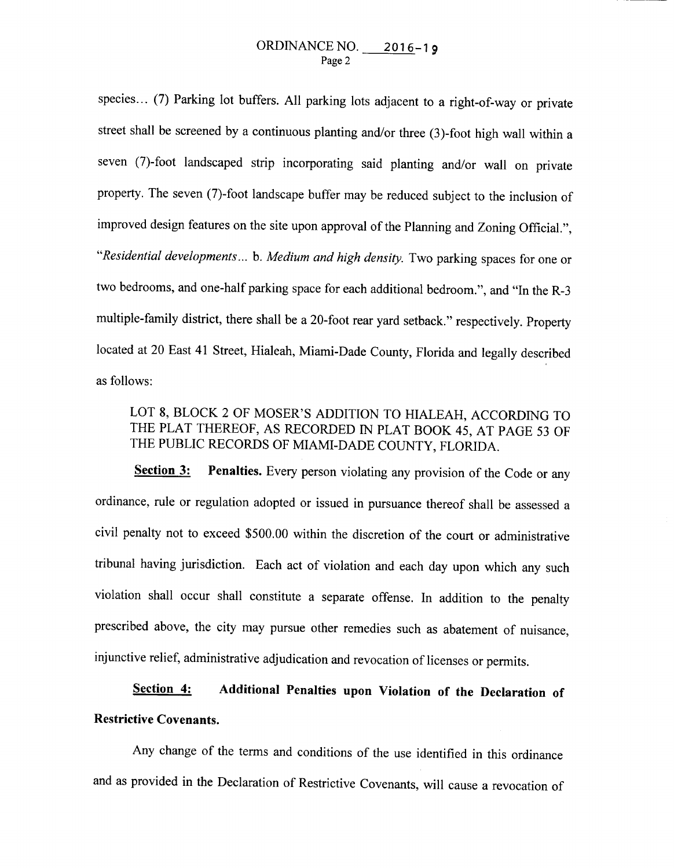species ... (7) Parking lot buffers. All parking lots adjacent to a right-of-way or private street shall be screened by a continuous planting and/or three (3)-foot high wall within a seven (7)-foot landscaped strip incorporating said planting and/or wall on private property. The seven (7)-foot landscape buffer may be reduced subject to the inclusion of improved design features on the site upon approval of the Planning and Zoning Official.", *"Residential developments ...* b. *Medium and high density.* Two parking spaces for one or two bedrooms, and one-half parking space for each additional bedroom.", and "In the R-3 multiple-family district, there shall be a 20-foot rear yard setback." respectively. Property located at 20 East 41 Street, Hialeah, Miami-Dade County, Florida and legally described as follows:

## LOT 8, BLOCK 2 OF MOSER'S ADDITION TO HIALEAH, ACCORDING TO THE PLAT THEREOF, AS RECORDED IN PLAT BOOK 45, AT PAGE 53 OF THE PUBLIC RECORDS OF MIAMI-DADE COUNTY, FLORIDA.

**Section 3: Penalties.** Every person violating any provision of the Code or any ordinance, rule or regulation adopted or issued in pursuance thereof shall be assessed a civil penalty not to exceed \$500.00 within the discretion of the court or administrative tribunal having jurisdiction. Each act of violation and each day upon which any such violation shall occur shall constitute a separate offense. In addition to the penalty prescribed above, the city may pursue other remedies such as abatement of nuisance, injunctive relief, administrative adjudication and revocation of licenses or permits.

# **Section 4: Additional Penalties upon Violation of the Declaration of Restrictive Covenants.**

Any change of the terms and conditions of the use identified in this ordinance and as provided in the Declaration of Restrictive Covenants, will cause a revocation of